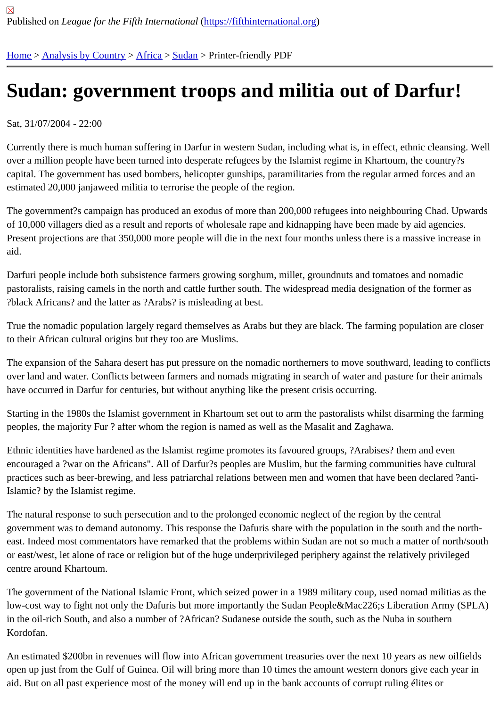## [Su](https://fifthinternational.org/)[dan: gover](https://fifthinternational.org/category/1)[nme](https://fifthinternational.org/category/1/1)[nt tr](https://fifthinternational.org/category/1/1/48)oops and militia out of Darfur!

Sat, 31/07/2004 - 22:00

Currently there is much human suffering in Darfur in western Sudan, including what is, in effect, ethnic cleansing. V over a million people have been turned into desperate refugees by the Islamist regime in Khartoum, the country?s capital. The government has used bombers, helicopter gunships, paramilitaries from the regular armed forces and estimated 20,000 janjaweed militia to terrorise the people of the region.

The government?s campaign has produced an exodus of more than 200,000 refugees into neighbouring Chad. Up of 10,000 villagers died as a result and reports of wholesale rape and kidnapping have been made by aid agencies. Present projections are that 350,000 more people will die in the next four months unless there is a massive increat aid.

Darfuri people include both subsistence farmers growing sorghum, millet, groundnuts and tomatoes and nomadic pastoralists, raising camels in the north and cattle further south. The widespread media designation of the former a ?black Africans? and the latter as ?Arabs? is misleading at best.

True the nomadic population largely regard themselves as Arabs but they are black. The farming population are cl to their African cultural origins but they too are Muslims.

The expansion of the Sahara desert has put pressure on the nomadic northerners to move southward, leading to d over land and water. Conflicts between farmers and nomads migrating in search of water and pasture for their anim have occurred in Darfur for centuries, but without anything like the present crisis occurring.

Starting in the 1980s the Islamist government in Khartoum set out to arm the pastoralists whilst disarming the farming peoples, the majority Fur ? after whom the region is named as well as the Masalit and Zaghawa.

Ethnic identities have hardened as the Islamist regime promotes its favoured groups, ?Arabises? them and even encouraged a ?war on the Africans". All of Darfur?s peoples are Muslim, but the farming communities have cultura practices such as beer-brewing, and less patriarchal relations between men and women that have been declared ' Islamic? by the Islamist regime.

The natural response to such persecution and to the prolonged economic neglect of the region by the central government was to demand autonomy. This response the Dafuris share with the population in the south and the n east. Indeed most commentators have remarked that the problems within Sudan are not so much a matter of north or east/west, let alone of race or religion but of the huge underprivileged periphery against the relatively privileged centre around Khartoum.

The government of the National Islamic Front, which seized power in a 1989 military coup, used nomad militias as the low-cost way to fight not only the Dafuris but more importantly the Sudan People&Mac226;s Liberation Army (SPL in the oil-rich South, and also a number of ?African? Sudanese outside the south, such as the Nuba in southern Kordofan.

An estimated \$200bn in revenues will flow into African government treasuries over the next 10 years as new oilfiel open up just from the Gulf of Guinea. Oil will bring more than 10 times the amount western donors give each year aid. But on all past experience most of the money will end up in the bank accounts of corrupt ruling élites or